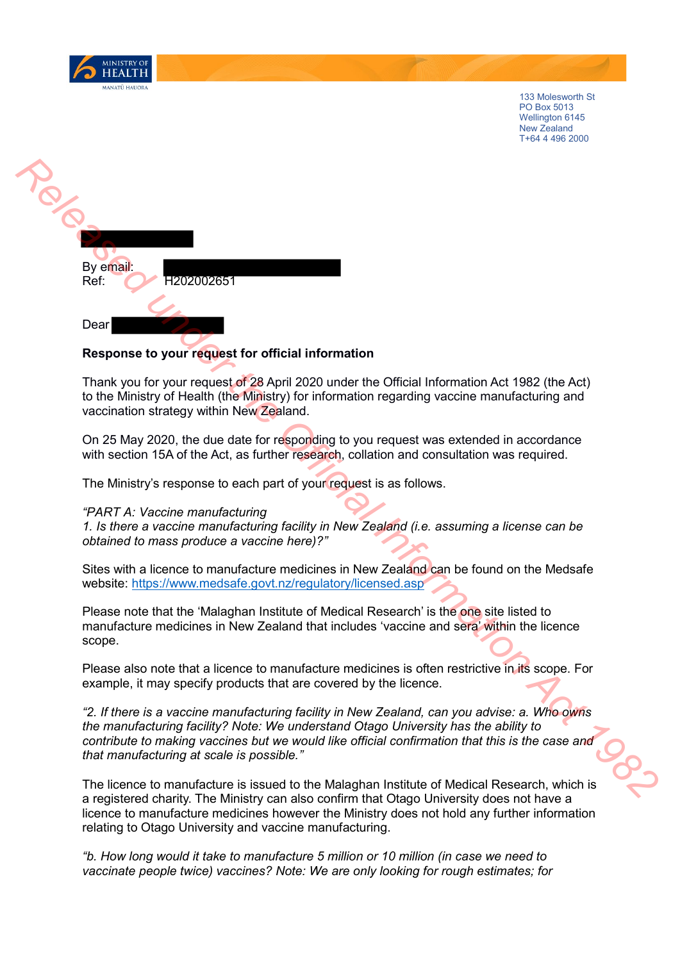

133 Molesworth St PO Box 5013 Wellington 6145 New Zealand T+64 4 496 2000



## **Response to your request for official information**

Thank you for your request of 28 April 2020 under the Official Information Act 1982 (the Act) to the Ministry of Health (the Ministry) for information regarding vaccine manufacturing and vaccination strategy within New Zealand.

On 25 May 2020, the due date for responding to you request was extended in accordance with section 15A of the Act, as further research, collation and consultation was required.

The Ministry's response to each part of your request is as follows.

## *"PART A: Vaccine manufacturing*

*1. Is there a vaccine manufacturing facility in New Zealand (i.e. assuming a license can be obtained to mass produce a vaccine here)?"* 

Sites with a licence to manufacture medicines in New Zealand can be found on the Medsafe website: https://www.medsafe.govt.nz/regulatory/licensed.asp

Please note that the 'Malaghan Institute of Medical Research' is the one site listed to manufacture medicines in New Zealand that includes 'vaccine and sera' within the licence scope.

Please also note that a licence to manufacture medicines is often restrictive in its scope. For example, it may specify products that are covered by the licence.

*"2. If there is a vaccine manufacturing facility in New Zealand, can you advise: a. Who owns the manufacturing facility? Note: We understand Otago University has the ability to contribute to making vaccines but we would like official confirmation that this is the case and that manufacturing at scale is possible."* 

The licence to manufacture is issued to the Malaghan Institute of Medical Research, which is a registered charity. The Ministry can also confirm that Otago University does not have a licence to manufacture medicines however the Ministry does not hold any further information relating to Otago University and vaccine manufacturing.

*"b. How long would it take to manufacture 5 million or 10 million (in case we need to vaccinate people twice) vaccines? Note: We are only looking for rough estimates; for*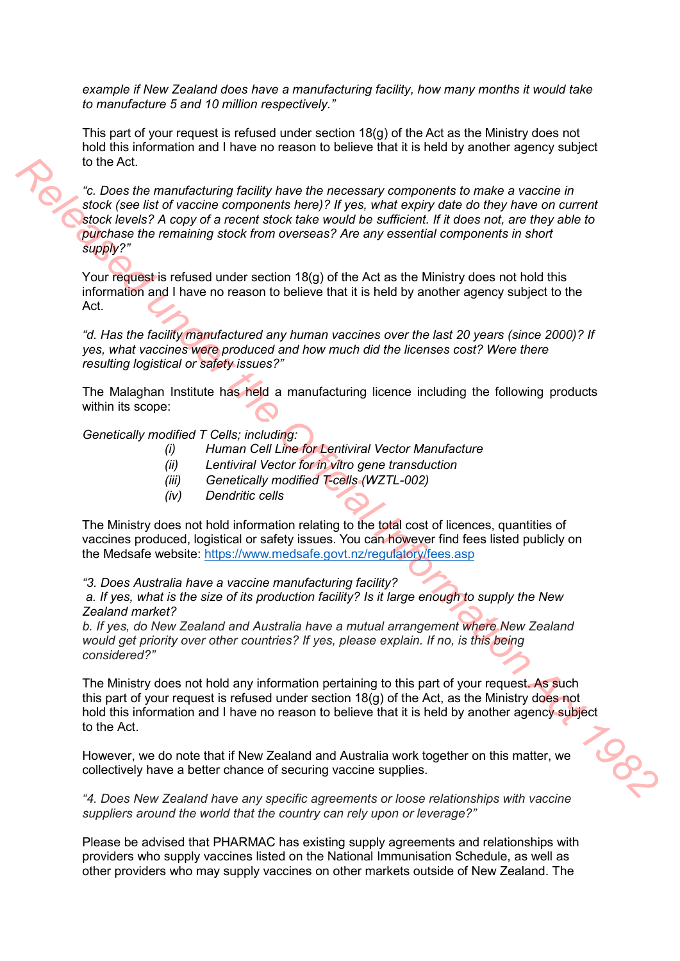*example if New Zealand does have a manufacturing facility, how many months it would take to manufacture 5 and 10 million respectively."* 

This part of your request is refused under section 18(g) of the Act as the Ministry does not hold this information and I have no reason to believe that it is held by another agency subject to the Act.

*"c. Does the manufacturing facility have the necessary components to make a vaccine in stock (see list of vaccine components here)? If yes, what expiry date do they have on current stock levels? A copy of a recent stock take would be sufficient. If it does not, are they able to purchase the remaining stock from overseas? Are any essential components in short supply?"*  **Release the manufacturing facility have the necessary components to make a vaccine in the C. Does the Official II and the Official III and the Official III and the Official III and the Official III and the Official III an** 

Your request is refused under section 18(g) of the Act as the Ministry does not hold this information and I have no reason to believe that it is held by another agency subject to the Act.

*"d. Has the facility manufactured any human vaccines over the last 20 years (since 2000)? If yes, what vaccines were produced and how much did the licenses cost? Were there resulting logistical or safety issues?"*

The Malaghan Institute has held a manufacturing licence including the following products within its scope:

*Genetically modified T Cells; including:* 

- *(i) Human Cell Line for Lentiviral Vector Manufacture*
- *(ii) Lentiviral Vector for in vitro gene transduction*
- *(iii) Genetically modified T-cells (WZTL-002)*
- *(iv) Dendritic cells*

The Ministry does not hold information relating to the total cost of licences, quantities of vaccines produced, logistical or safety issues. You can however find fees listed publicly on the Medsafe website: https://www.medsafe.govt.nz/regulatory/fees.asp

*"3. Does Australia have a vaccine manufacturing facility?* 

*a. If yes, what is the size of its production facility? Is it large enough to supply the New Zealand market?*

*b. If yes, do New Zealand and Australia have a mutual arrangement where New Zealand would get priority over other countries? If yes, please explain. If no, is this being considered?"*

The Ministry does not hold any information pertaining to this part of your request. As such this part of your request is refused under section 18(g) of the Act, as the Ministry does not hold this information and I have no reason to believe that it is held by another agency subject to the Act.

However, we do note that if New Zealand and Australia work together on this matter, we collectively have a better chance of securing vaccine supplies.

*"4. Does New Zealand have any specific agreements or loose relationships with vaccine suppliers around the world that the country can rely upon or leverage?"* 

Please be advised that PHARMAC has existing supply agreements and relationships with providers who supply vaccines listed on the National Immunisation Schedule, as well as other providers who may supply vaccines on other markets outside of New Zealand. The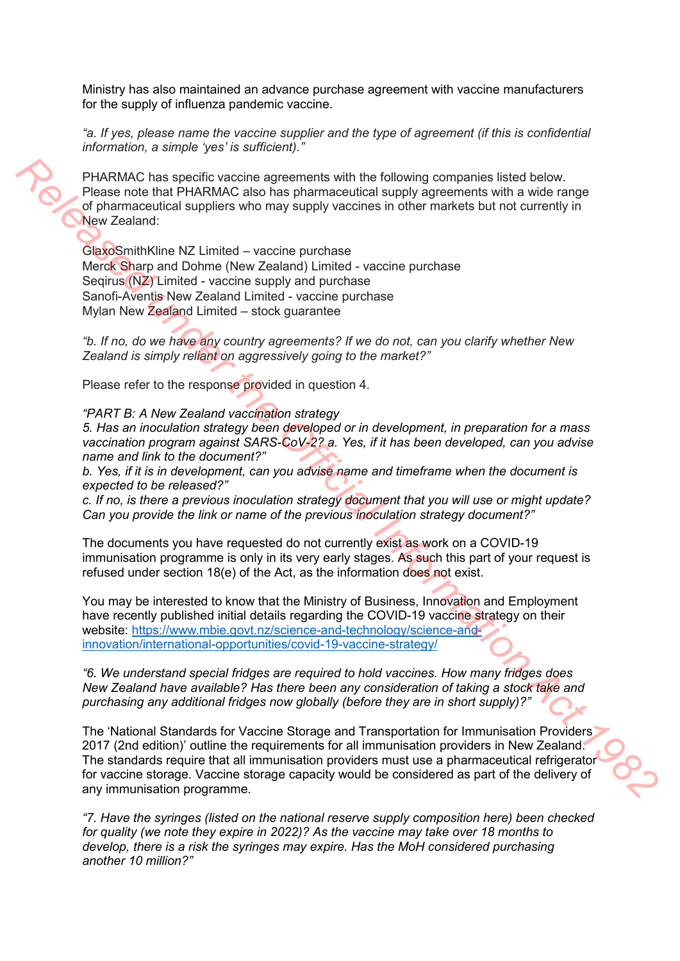Ministry has also maintained an advance purchase agreement with vaccine manufacturers for the supply of influenza pandemic vaccine.

*"a. If yes, please name the vaccine supplier and the type of agreement (if this is confidential information, a simple 'yes' is sufficient)."* 

PHARMAC has specific vaccine agreements with the following companies listed below. Please note that PHARMAC also has pharmaceutical supply agreements with a wide range of pharmaceutical suppliers who may supply vaccines in other markets but not currently in New Zealand:

GlaxoSmithKline NZ Limited – vaccine purchase Merck Sharp and Dohme (New Zealand) Limited - vaccine purchase Seqirus (NZ) Limited - vaccine supply and purchase Sanofi-Aventis New Zealand Limited - vaccine purchase Mylan New Zealand Limited – stock guarantee

*"b. If no, do we have any country agreements? If we do not, can you clarify whether New Zealand is simply reliant on aggressively going to the market?"* 

Please refer to the response provided in question 4.

*"PART B: A New Zealand vaccination strategy* 

*5. Has an inoculation strategy been developed or in development, in preparation for a mass vaccination program against SARS-CoV-2? a. Yes, if it has been developed, can you advise name and link to the document?"* 

*b. Yes, if it is in development, can you advise name and timeframe when the document is expected to be released?"* 

*c. If no, is there a previous inoculation strategy document that you will use or might update? Can you provide the link or name of the previous inoculation strategy document?"* 

The documents you have requested do not currently exist as work on a COVID-19 immunisation programme is only in its very early stages. As such this part of your request is refused under section 18(e) of the Act, as the information does not exist.

You may be interested to know that the Ministry of Business, Innovation and Employment have recently published initial details regarding the COVID-19 vaccine strategy on their website: https://www.mbie.govt.nz/science-and-technology/science-andinnovation/international-opportunities/covid-19-vaccine-strategy/

*"6. We understand special fridges are required to hold vaccines. How many fridges does New Zealand have available? Has there been any consideration of taking a stock take and purchasing any additional fridges now globally (before they are in short supply)?"* 

The 'National Standards for Vaccine Storage and Transportation for Immunisation Providers 2017 (2nd edition)' outline the requirements for all immunisation providers in New Zealand. The standards require that all immunisation providers must use a pharmaceutical refrigerator for vaccine storage. Vaccine storage capacity would be considered as part of the delivery of any immunisation programme. **PHARMAC has specific vaccine agreements with the following companies listed below.**<br>**Release role that PHARMAC ass has pharmoscalical supply exerced using the prementes with a wife range<br>of the mmocnities supples with may** 

> *"7. Have the syringes (listed on the national reserve supply composition here) been checked for quality (we note they expire in 2022)? As the vaccine may take over 18 months to develop, there is a risk the syringes may expire. Has the MoH considered purchasing another 10 million?"*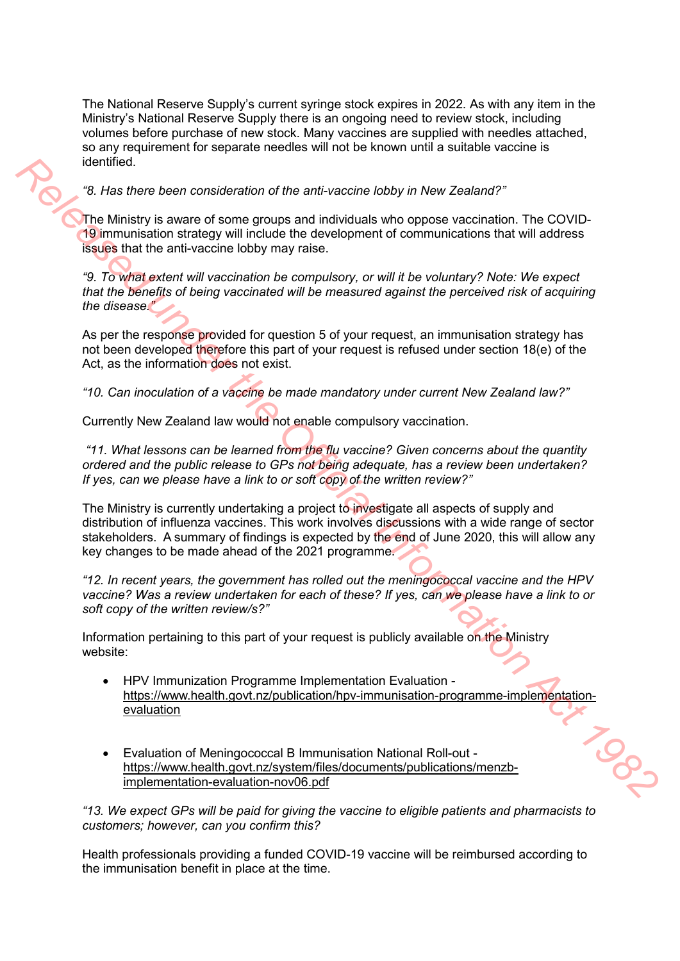The National Reserve Supply's current syringe stock expires in 2022. As with any item in the Ministry's National Reserve Supply there is an ongoing need to review stock, including volumes before purchase of new stock. Many vaccines are supplied with needles attached, so any requirement for separate needles will not be known until a suitable vaccine is identified.

## *"8. Has there been consideration of the anti-vaccine lobby in New Zealand?"*

The Ministry is aware of some groups and individuals who oppose vaccination. The COVID-19 immunisation strategy will include the development of communications that will address issues that the anti-vaccine lobby may raise.

*"9. To what extent will vaccination be compulsory, or will it be voluntary? Note: We expect that the benefits of being vaccinated will be measured against the perceived risk of acquiring the disease."* 

As per the response provided for question 5 of your request, an immunisation strategy has not been developed therefore this part of your request is refused under section 18(e) of the Act, as the information does not exist.

*"10. Can inoculation of a vaccine be made mandatory under current New Zealand law?"* 

Currently New Zealand law would not enable compulsory vaccination.

 *"11. What lessons can be learned from the flu vaccine? Given concerns about the quantity ordered and the public release to GPs not being adequate, has a review been undertaken? If yes, can we please have a link to or soft copy of the written review?"* 

The Ministry is currently undertaking a project to investigate all aspects of supply and distribution of influenza vaccines. This work involves discussions with a wide range of sector stakeholders. A summary of findings is expected by the end of June 2020, this will allow any key changes to be made ahead of the 2021 programme. **Release the action of the anti-vaccine tobby in New Zealand?"<br>
<b>Release the action of Society and include the development of communications that Will address<br>
The Ministry is aware of some groups and individuals who oppos** 

*"12. In recent years, the government has rolled out the meningococcal vaccine and the HPV vaccine? Was a review undertaken for each of these? If yes, can we please have a link to or soft copy of the written review/s?"* 

Information pertaining to this part of your request is publicly available on the Ministry website:

- HPV Immunization Programme Implementation Evaluation https://www.health.govt.nz/publication/hpv-immunisation-programme-implementationevaluation
- Evaluation of Meningococcal B Immunisation National Roll-out https://www.health.govt.nz/system/files/documents/publications/menzbimplementation-evaluation-nov06.pdf

*"13. We expect GPs will be paid for giving the vaccine to eligible patients and pharmacists to customers; however, can you confirm this?* 

Health professionals providing a funded COVID-19 vaccine will be reimbursed according to the immunisation benefit in place at the time.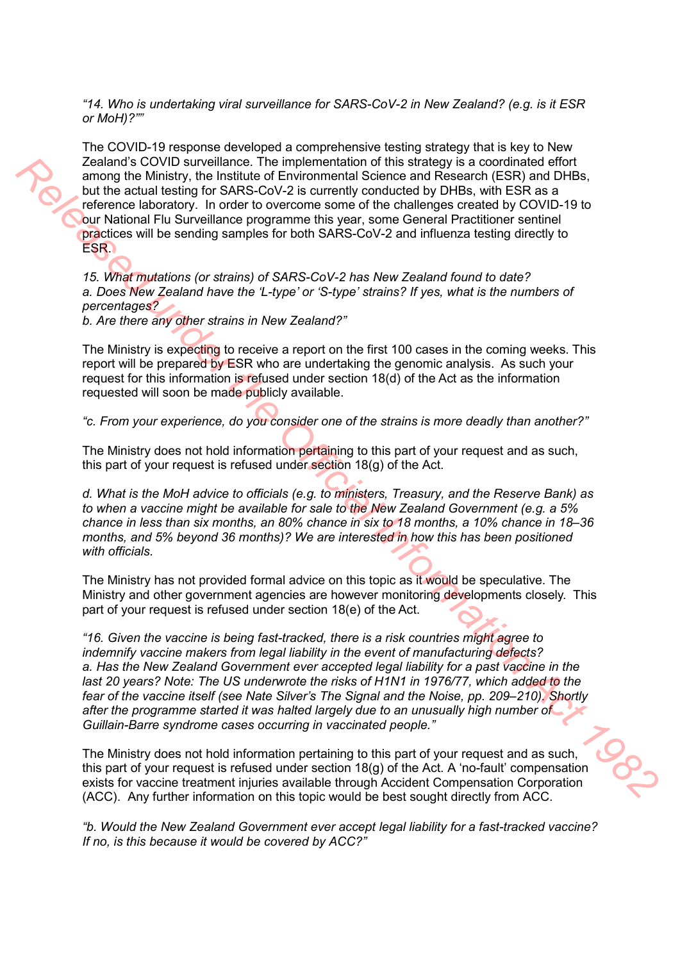*"14. Who is undertaking viral surveillance for SARS-CoV-2 in New Zealand? (e.g. is it ESR or MoH)?""* 

The COVID-19 response developed a comprehensive testing strategy that is key to New Zealand's COVID surveillance. The implementation of this strategy is a coordinated effort among the Ministry, the Institute of Environmental Science and Research (ESR) and DHBs, but the actual testing for SARS-CoV-2 is currently conducted by DHBs, with ESR as a reference laboratory. In order to overcome some of the challenges created by COVID-19 to our National Flu Surveillance programme this year, some General Practitioner sentinel practices will be sending samples for both SARS-CoV-2 and influenza testing directly to ESR. 2 calear of COVID survivillence. The implementation of this stateley is a coordinate distribution of the Act 2 calear of the State and the State and the State of the State and History. The particular the Covid-2 is curre

*15. What mutations (or strains) of SARS-CoV-2 has New Zealand found to date? a. Does New Zealand have the 'L-type' or 'S-type' strains? If yes, what is the numbers of percentages?*

*b. Are there any other strains in New Zealand?"* 

The Ministry is expecting to receive a report on the first 100 cases in the coming weeks. This report will be prepared by ESR who are undertaking the genomic analysis. As such your request for this information is refused under section 18(d) of the Act as the information requested will soon be made publicly available.

*"c. From your experience, do you consider one of the strains is more deadly than another?"* 

The Ministry does not hold information pertaining to this part of your request and as such, this part of your request is refused under section 18(g) of the Act.

*d. What is the MoH advice to officials (e.g. to ministers, Treasury, and the Reserve Bank) as to when a vaccine might be available for sale to the New Zealand Government (e.g. a 5% chance in less than six months, an 80% chance in six to 18 months, a 10% chance in 18–36 months, and 5% beyond 36 months)? We are interested in how this has been positioned with officials.*

The Ministry has not provided formal advice on this topic as it would be speculative. The Ministry and other government agencies are however monitoring developments closely. This part of your request is refused under section 18(e) of the Act.

*"16. Given the vaccine is being fast-tracked, there is a risk countries might agree to indemnify vaccine makers from legal liability in the event of manufacturing defects? a. Has the New Zealand Government ever accepted legal liability for a past vaccine in the last 20 years? Note: The US underwrote the risks of H1N1 in 1976/77, which added to the fear of the vaccine itself (see Nate Silver's The Signal and the Noise, pp. 209–210). Shortly after the programme started it was halted largely due to an unusually high number of Guillain-Barre syndrome cases occurring in vaccinated people."* 

The Ministry does not hold information pertaining to this part of your request and as such, this part of your request is refused under section  $18(q)$  of the Act. A 'no-fault' compensation exists for vaccine treatment injuries available through Accident Compensation Corporation (ACC). Any further information on this topic would be best sought directly from ACC.

*"b. Would the New Zealand Government ever accept legal liability for a fast-tracked vaccine? If no, is this because it would be covered by ACC?"*